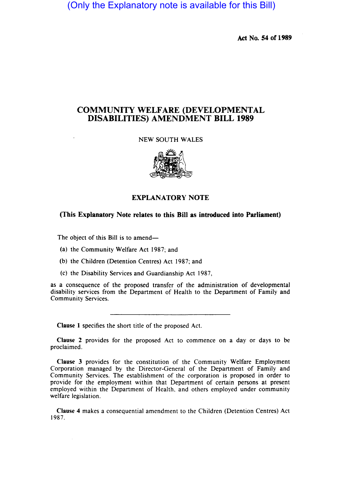(Only the Explanatory note is available for this Bill)

Act No. 54 of 1989

## COMMUNITY WELFARE (DEVELOPMENTAL DISABILITIES) AMENDMENT BILL 1989

NEW SOUTH WALES



## EXPLANATORY NOTE

## (This Explanatory Note relates to this Bill as introduced into Parliament)

The object of this Bill is to amend-

- (a) the Community Welfare Act 1987; and
- (b) the Children (Detention Centres) Act 1987; and
- (c) the Disability Services and Guardianship Act 1987,

as a consequence of the proposed transfer of the administration of developmental disability services from the Department of Health to the Department of Family and Community Services.

Clause 1 specifies the short title of the proposed Act.

Clause 2 provides for the proposed Act to commence on a day or days to be proclaimed.

Clause 3 provides for the constitution of the Community Welfare Employment Corporation managed by the Director-General of the Department of Family and Community Services. The establishment of the corporation is proposed in order to provide for the employment within that Department of certain persons at present employed within the Department of Health, and others employed under community welfare legislation.

Clause 4 makes a consequential amendment to the Children (Detention Centres) Act 1987.